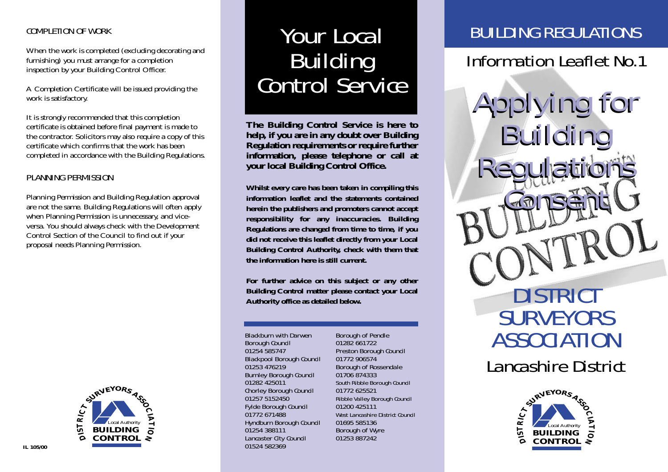#### COMPLETION OF WORK

When the work is completed (excluding decorating and furnishing) you must arrange for a completion inspection by your Building Control Officer.

A Completion Certificate will be issued providing the work is satisfactory.

It is strongly recommended that this completion certificate is obtained before final payment is made to the contractor. Solicitors may also require a copy of this certificate which confirms that the work has been completed in accordance with the Building Regulations.

#### PLANNING PERMISSION

Planning Permission and Building Regulation approval are not the same. Building Regulations will often apply when Planning Permission is unnecessary, and viceversa. You should always check with the Development Control Section of the Council to find out if your proposal needs Planning Permission.



# Your Local Building Control Service

**The Building Control Service is here to help, if you are in any doubt over Building Regulation requirements or require further information, please telephone or call at your local Building Control Office.**

**Whilst every care has been taken in compiling this information leaflet and the statements contained herein the publishers and promoters cannot accept responsibility for any inaccuracies. Building Regulations are changed from time to time, if you did not receive this leaflet directly from your Local Building Control Authority, check with them that the information here is still current.**

**For further advice on this subject or any other Building Control matter please contact your Local Authority office as detailed below.**

Blackburn with Darwen Borough Council 01254 585747 Blackpool Borough Council 01253 476219 Burnley Borough Council 01282 425011 Chorley Borough Council 01257 5152450 Fylde Borough Council 01772 671488 Hyndburn Borough Council 01254 388111 Lancaster City Council 01524 582369

Borough of Pendle 01282 661722 Preston Borough Council 01772 906574 Borough of Rossendale 01706 874333 South Ribble Borough Council 01772 625521 Ribble Valley Borough Council 01200 425111 West Lancashire District Council 01695 585136 Borough of Wyre 01253 887242

# BUILDING REGULATIONS

# Information Leaflet No.1

Applying for Applying for Building Building Regulations **Consent** DISTRICT **SURVEYORS** ASSOCIATION Lancashire District Regulations Consent